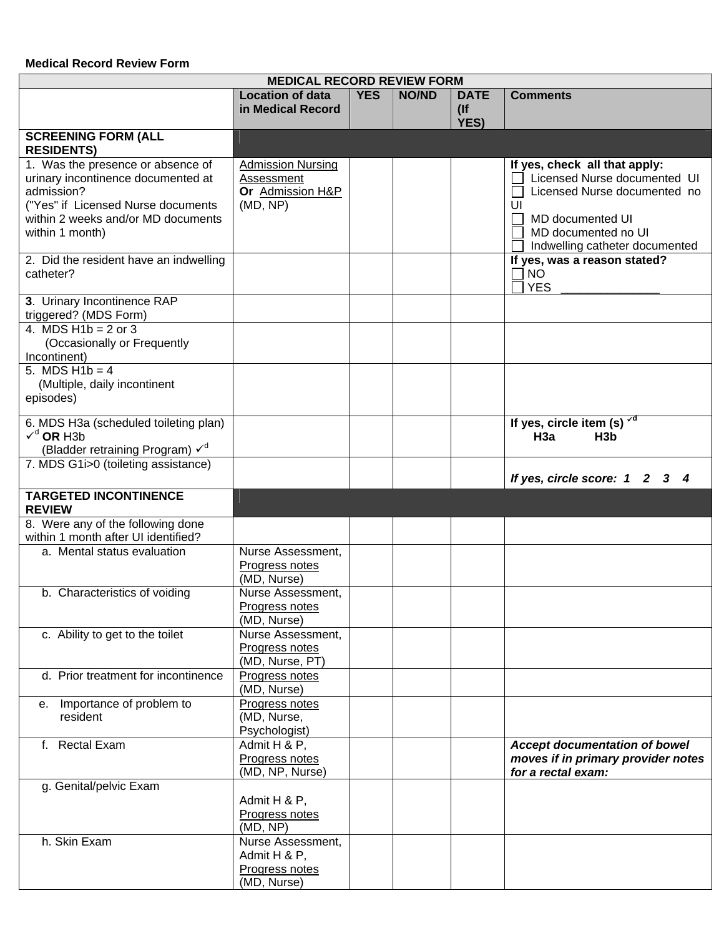## **Medical Record Review Form**

| <b>MEDICAL RECORD REVIEW FORM</b>                                                                                                                                                             |                                                                    |            |              |                               |                                                                                                                                                                                         |  |
|-----------------------------------------------------------------------------------------------------------------------------------------------------------------------------------------------|--------------------------------------------------------------------|------------|--------------|-------------------------------|-----------------------------------------------------------------------------------------------------------------------------------------------------------------------------------------|--|
|                                                                                                                                                                                               | <b>Location of data</b><br>in Medical Record                       | <b>YES</b> | <b>NO/ND</b> | <b>DATE</b><br>$($ lf<br>YES) | <b>Comments</b>                                                                                                                                                                         |  |
| <b>SCREENING FORM (ALL</b><br><b>RESIDENTS)</b>                                                                                                                                               |                                                                    |            |              |                               |                                                                                                                                                                                         |  |
| 1. Was the presence or absence of<br>urinary incontinence documented at<br>admission?<br>("Yes" if Licensed Nurse documents<br>within 2 weeks and/or MD documents<br>within 1 month)          | Admission Nursing<br>Assessment<br>Or Admission H&P<br>(MD, NP)    |            |              |                               | If yes, check all that apply:<br>Licensed Nurse documented UI<br>Licensed Nurse documented no<br>UI<br><b>MD</b> documented UI<br>MD documented no UI<br>Indwelling catheter documented |  |
| 2. Did the resident have an indwelling<br>catheter?                                                                                                                                           |                                                                    |            |              |                               | If yes, was a reason stated?<br><b>NO</b><br><b>YES</b>                                                                                                                                 |  |
| 3. Urinary Incontinence RAP<br>triggered? (MDS Form)<br>4. MDS $H1b = 2$ or 3<br>(Occasionally or Frequently<br>Incontinent)<br>5. MDS $H1b = 4$<br>(Multiple, daily incontinent<br>episodes) |                                                                    |            |              |                               |                                                                                                                                                                                         |  |
| 6. MDS H3a (scheduled toileting plan)<br>$Vd$ OR H3b<br>(Bladder retraining Program) $\checkmark$ <sup>d</sup><br>7. MDS G1i>0 (toileting assistance)                                         |                                                                    |            |              |                               | If yes, circle item (s) $\sqrt{d}$<br>H3a<br>H <sub>3</sub> b                                                                                                                           |  |
| <b>TARGETED INCONTINENCE</b><br><b>REVIEW</b>                                                                                                                                                 |                                                                    |            |              |                               | If yes, circle score: 1 2 3 4                                                                                                                                                           |  |
| 8. Were any of the following done<br>within 1 month after UI identified?                                                                                                                      |                                                                    |            |              |                               |                                                                                                                                                                                         |  |
| a. Mental status evaluation                                                                                                                                                                   | Nurse Assessment,<br>Progress notes<br>(MD, Nurse)                 |            |              |                               |                                                                                                                                                                                         |  |
| b. Characteristics of voiding                                                                                                                                                                 | Nurse Assessment,<br>Progress notes<br>(MD, Nurse)                 |            |              |                               |                                                                                                                                                                                         |  |
| c. Ability to get to the toilet                                                                                                                                                               | Nurse Assessment,<br>Progress notes<br>(MD, Nurse, PT)             |            |              |                               |                                                                                                                                                                                         |  |
| d. Prior treatment for incontinence                                                                                                                                                           | Progress notes<br>(MD, Nurse)                                      |            |              |                               |                                                                                                                                                                                         |  |
| Importance of problem to<br>е.<br>resident                                                                                                                                                    | Progress notes<br>(MD, Nurse,<br>Psychologist)                     |            |              |                               |                                                                                                                                                                                         |  |
| f. Rectal Exam                                                                                                                                                                                | Admit H & P,<br>Progress notes<br>(MD, NP, Nurse)                  |            |              |                               | <b>Accept documentation of bowel</b><br>moves if in primary provider notes<br>for a rectal exam:                                                                                        |  |
| g. Genital/pelvic Exam                                                                                                                                                                        | Admit H & P,<br>Progress notes<br>(MD, NP)                         |            |              |                               |                                                                                                                                                                                         |  |
| h. Skin Exam                                                                                                                                                                                  | Nurse Assessment,<br>Admit H & P,<br>Progress notes<br>(MD, Nurse) |            |              |                               |                                                                                                                                                                                         |  |